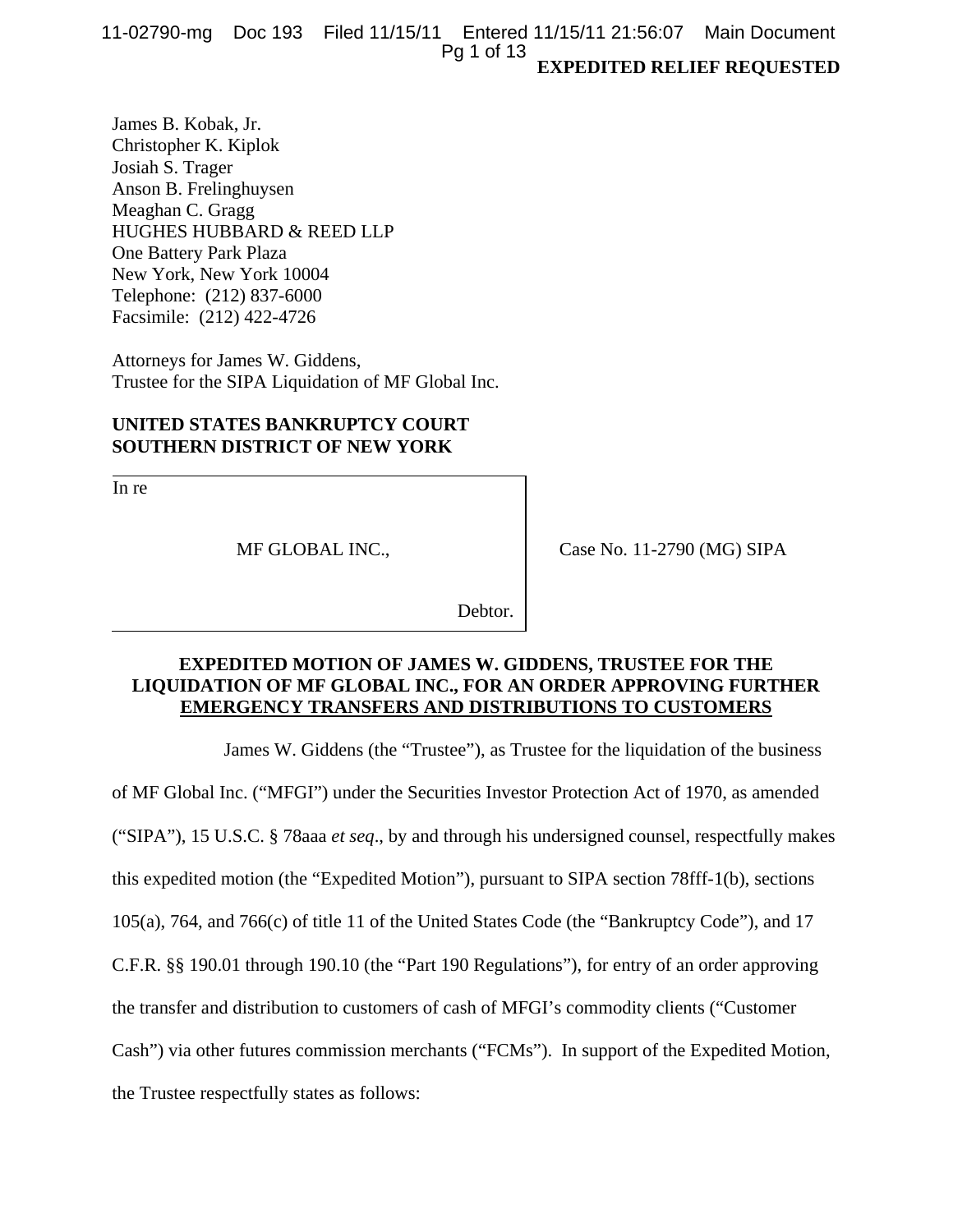**EXPEDITED RELIEF REQUESTED**  11-02790-mg Doc 193 Filed 11/15/11 Entered 11/15/11 21:56:07 Main Document Pg 1 of 13

James B. Kobak, Jr. Christopher K. Kiplok Josiah S. Trager Anson B. Frelinghuysen Meaghan C. Gragg HUGHES HUBBARD & REED LLP One Battery Park Plaza New York, New York 10004 Telephone: (212) 837-6000 Facsimile: (212) 422-4726

Attorneys for James W. Giddens, Trustee for the SIPA Liquidation of MF Global Inc.

# **UNITED STATES BANKRUPTCY COURT SOUTHERN DISTRICT OF NEW YORK**

In re

MF GLOBAL INC.,

Case No. 11-2790 (MG) SIPA

Debtor.

# **EXPEDITED MOTION OF JAMES W. GIDDENS, TRUSTEE FOR THE LIQUIDATION OF MF GLOBAL INC., FOR AN ORDER APPROVING FURTHER EMERGENCY TRANSFERS AND DISTRIBUTIONS TO CUSTOMERS**

James W. Giddens (the "Trustee"), as Trustee for the liquidation of the business

of MF Global Inc. ("MFGI") under the Securities Investor Protection Act of 1970, as amended

("SIPA"), 15 U.S.C. § 78aaa *et seq*., by and through his undersigned counsel, respectfully makes

this expedited motion (the "Expedited Motion"), pursuant to SIPA section 78fff-1(b), sections

105(a), 764, and 766(c) of title 11 of the United States Code (the "Bankruptcy Code"), and 17

C.F.R. §§ 190.01 through 190.10 (the "Part 190 Regulations"), for entry of an order approving

the transfer and distribution to customers of cash of MFGI's commodity clients ("Customer

Cash") via other futures commission merchants ("FCMs"). In support of the Expedited Motion,

the Trustee respectfully states as follows: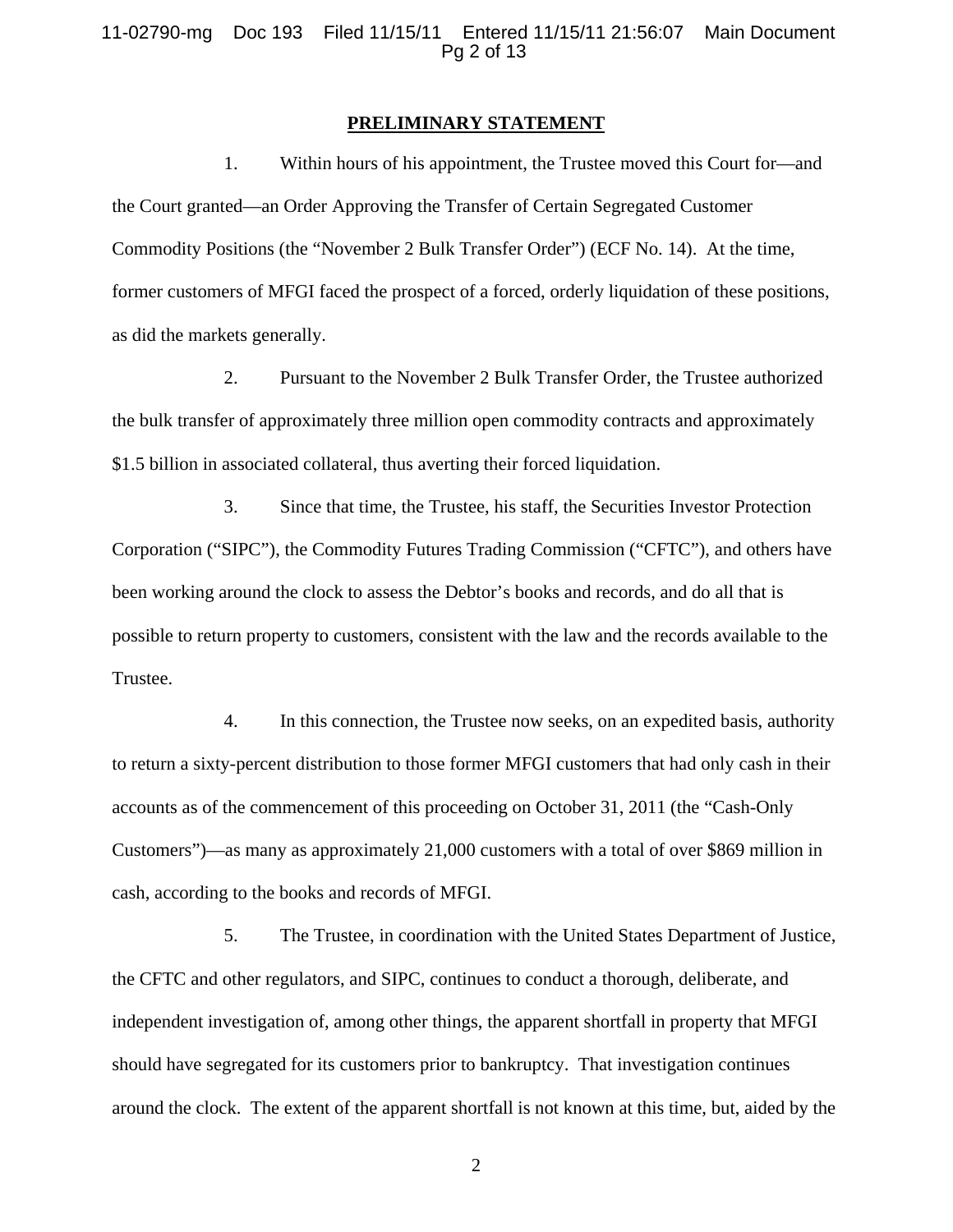#### **PRELIMINARY STATEMENT**

1. Within hours of his appointment, the Trustee moved this Court for—and the Court granted—an Order Approving the Transfer of Certain Segregated Customer Commodity Positions (the "November 2 Bulk Transfer Order") (ECF No. 14). At the time, former customers of MFGI faced the prospect of a forced, orderly liquidation of these positions, as did the markets generally.

2. Pursuant to the November 2 Bulk Transfer Order, the Trustee authorized the bulk transfer of approximately three million open commodity contracts and approximately \$1.5 billion in associated collateral, thus averting their forced liquidation.

3. Since that time, the Trustee, his staff, the Securities Investor Protection Corporation ("SIPC"), the Commodity Futures Trading Commission ("CFTC"), and others have been working around the clock to assess the Debtor's books and records, and do all that is possible to return property to customers, consistent with the law and the records available to the Trustee.

4. In this connection, the Trustee now seeks, on an expedited basis, authority to return a sixty-percent distribution to those former MFGI customers that had only cash in their accounts as of the commencement of this proceeding on October 31, 2011 (the "Cash-Only Customers")—as many as approximately 21,000 customers with a total of over \$869 million in cash, according to the books and records of MFGI.

5. The Trustee, in coordination with the United States Department of Justice, the CFTC and other regulators, and SIPC, continues to conduct a thorough, deliberate, and independent investigation of, among other things, the apparent shortfall in property that MFGI should have segregated for its customers prior to bankruptcy. That investigation continues around the clock. The extent of the apparent shortfall is not known at this time, but, aided by the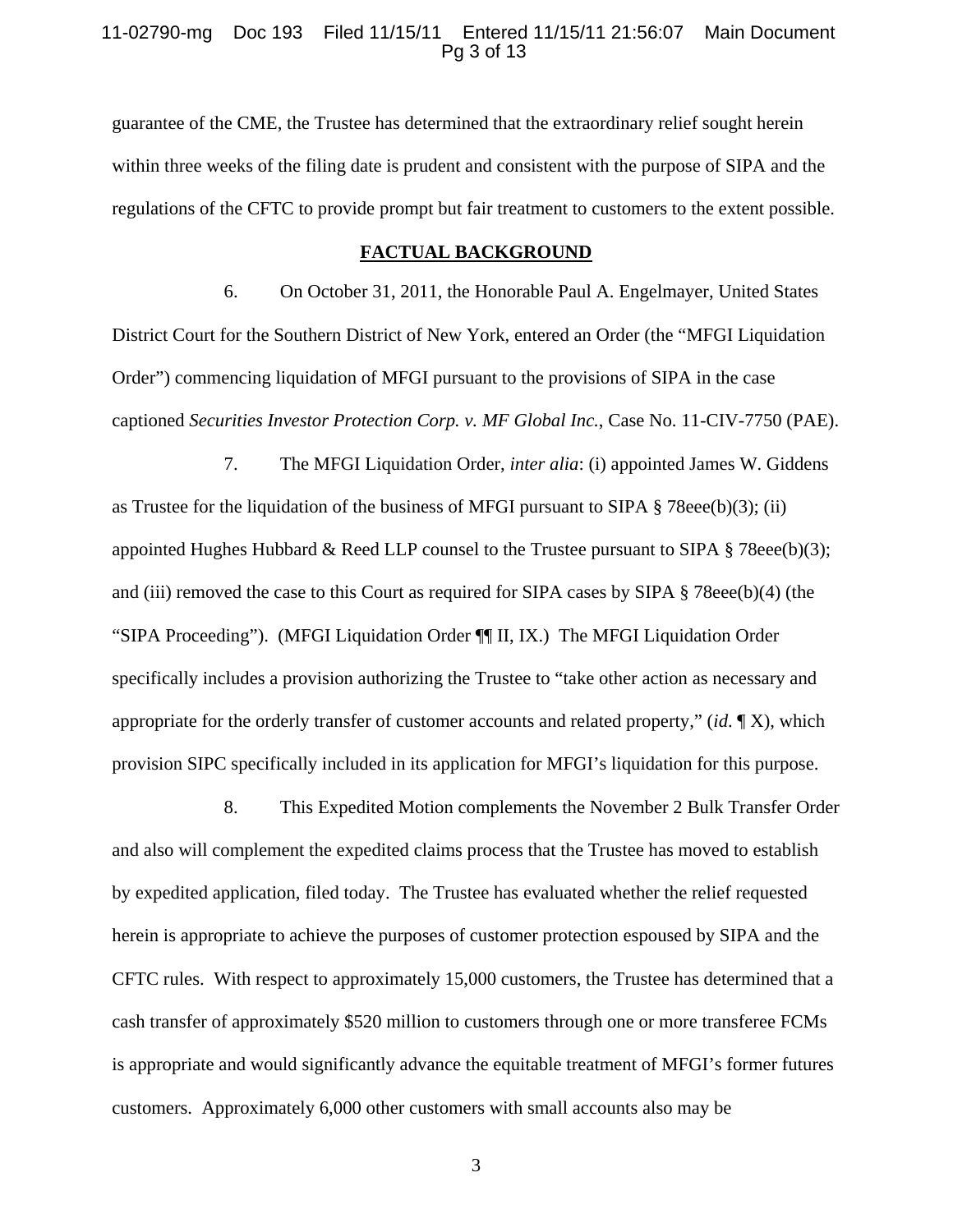## 11-02790-mg Doc 193 Filed 11/15/11 Entered 11/15/11 21:56:07 Main Document Pg 3 of 13

guarantee of the CME, the Trustee has determined that the extraordinary relief sought herein within three weeks of the filing date is prudent and consistent with the purpose of SIPA and the regulations of the CFTC to provide prompt but fair treatment to customers to the extent possible.

#### **FACTUAL BACKGROUND**

6. On October 31, 2011, the Honorable Paul A. Engelmayer, United States District Court for the Southern District of New York, entered an Order (the "MFGI Liquidation Order") commencing liquidation of MFGI pursuant to the provisions of SIPA in the case captioned *Securities Investor Protection Corp. v. MF Global Inc.*, Case No. 11-CIV-7750 (PAE).

7. The MFGI Liquidation Order, *inter alia*: (i) appointed James W. Giddens as Trustee for the liquidation of the business of MFGI pursuant to SIPA § 78eee(b)(3); (ii) appointed Hughes Hubbard & Reed LLP counsel to the Trustee pursuant to SIPA  $\S$  78eee(b)(3); and (iii) removed the case to this Court as required for SIPA cases by SIPA § 78eee(b)(4) (the "SIPA Proceeding"). (MFGI Liquidation Order ¶¶ II, IX.) The MFGI Liquidation Order specifically includes a provision authorizing the Trustee to "take other action as necessary and appropriate for the orderly transfer of customer accounts and related property," (*id*. ¶ X), which provision SIPC specifically included in its application for MFGI's liquidation for this purpose.

8. This Expedited Motion complements the November 2 Bulk Transfer Order and also will complement the expedited claims process that the Trustee has moved to establish by expedited application, filed today. The Trustee has evaluated whether the relief requested herein is appropriate to achieve the purposes of customer protection espoused by SIPA and the CFTC rules. With respect to approximately 15,000 customers, the Trustee has determined that a cash transfer of approximately \$520 million to customers through one or more transferee FCMs is appropriate and would significantly advance the equitable treatment of MFGI's former futures customers. Approximately 6,000 other customers with small accounts also may be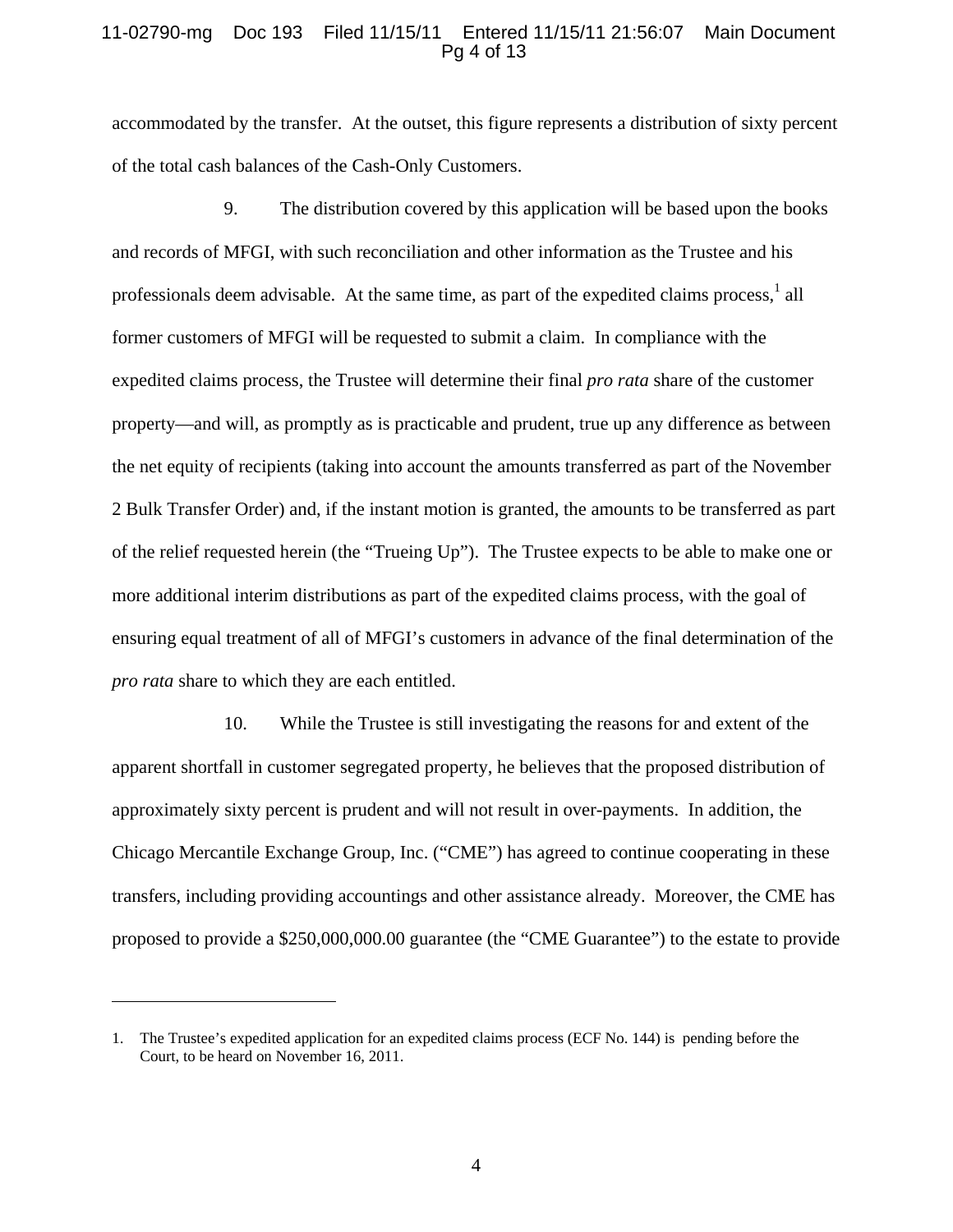# 11-02790-mg Doc 193 Filed 11/15/11 Entered 11/15/11 21:56:07 Main Document Pg 4 of 13

accommodated by the transfer. At the outset, this figure represents a distribution of sixty percent of the total cash balances of the Cash-Only Customers.

9. The distribution covered by this application will be based upon the books and records of MFGI, with such reconciliation and other information as the Trustee and his professionals deem advisable. At the same time, as part of the expedited claims process,  $\frac{1}{1}$  all former customers of MFGI will be requested to submit a claim. In compliance with the expedited claims process, the Trustee will determine their final *pro rata* share of the customer property—and will, as promptly as is practicable and prudent, true up any difference as between the net equity of recipients (taking into account the amounts transferred as part of the November 2 Bulk Transfer Order) and, if the instant motion is granted, the amounts to be transferred as part of the relief requested herein (the "Trueing Up"). The Trustee expects to be able to make one or more additional interim distributions as part of the expedited claims process, with the goal of ensuring equal treatment of all of MFGI's customers in advance of the final determination of the *pro rata* share to which they are each entitled.

10. While the Trustee is still investigating the reasons for and extent of the apparent shortfall in customer segregated property, he believes that the proposed distribution of approximately sixty percent is prudent and will not result in over-payments. In addition, the Chicago Mercantile Exchange Group, Inc. ("CME") has agreed to continue cooperating in these transfers, including providing accountings and other assistance already. Moreover, the CME has proposed to provide a \$250,000,000.00 guarantee (the "CME Guarantee") to the estate to provide

<sup>1.</sup> The Trustee's expedited application for an expedited claims process (ECF No. 144) is pending before the Court, to be heard on November 16, 2011.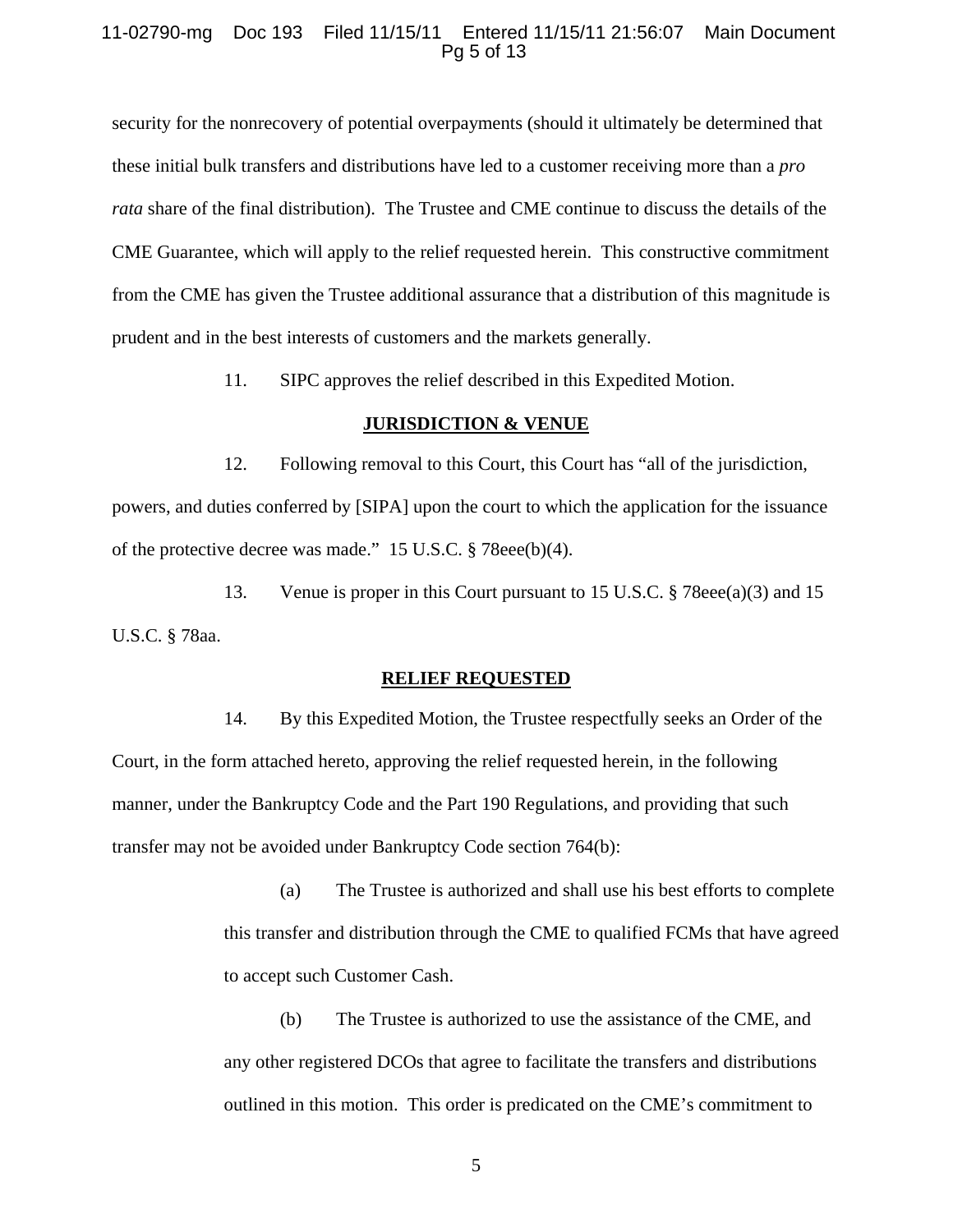# 11-02790-mg Doc 193 Filed 11/15/11 Entered 11/15/11 21:56:07 Main Document Pg 5 of 13

security for the nonrecovery of potential overpayments (should it ultimately be determined that these initial bulk transfers and distributions have led to a customer receiving more than a *pro rata* share of the final distribution). The Trustee and CME continue to discuss the details of the CME Guarantee, which will apply to the relief requested herein. This constructive commitment from the CME has given the Trustee additional assurance that a distribution of this magnitude is prudent and in the best interests of customers and the markets generally.

11. SIPC approves the relief described in this Expedited Motion.

## **JURISDICTION & VENUE**

12. Following removal to this Court, this Court has "all of the jurisdiction, powers, and duties conferred by [SIPA] upon the court to which the application for the issuance of the protective decree was made." 15 U.S.C. § 78eee(b)(4).

13. Venue is proper in this Court pursuant to 15 U.S.C. § 78eee(a)(3) and 15 U.S.C. § 78aa.

#### **RELIEF REQUESTED**

14. By this Expedited Motion, the Trustee respectfully seeks an Order of the Court, in the form attached hereto, approving the relief requested herein, in the following manner, under the Bankruptcy Code and the Part 190 Regulations, and providing that such transfer may not be avoided under Bankruptcy Code section 764(b):

> (a) The Trustee is authorized and shall use his best efforts to complete this transfer and distribution through the CME to qualified FCMs that have agreed to accept such Customer Cash.

(b) The Trustee is authorized to use the assistance of the CME, and any other registered DCOs that agree to facilitate the transfers and distributions outlined in this motion. This order is predicated on the CME's commitment to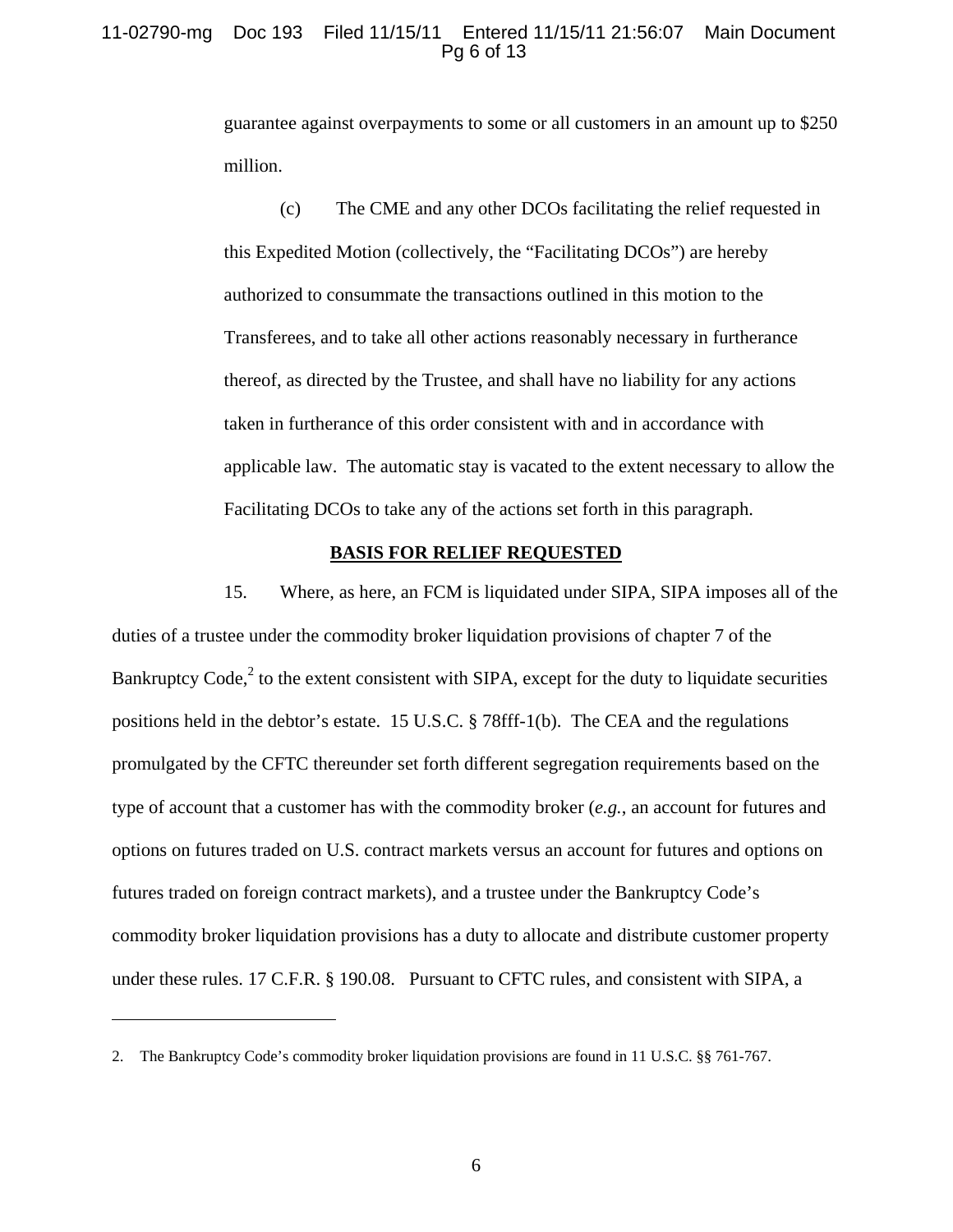# 11-02790-mg Doc 193 Filed 11/15/11 Entered 11/15/11 21:56:07 Main Document Pg 6 of 13

guarantee against overpayments to some or all customers in an amount up to \$250 million.

(c) The CME and any other DCOs facilitating the relief requested in this Expedited Motion (collectively, the "Facilitating DCOs") are hereby authorized to consummate the transactions outlined in this motion to the Transferees, and to take all other actions reasonably necessary in furtherance thereof, as directed by the Trustee, and shall have no liability for any actions taken in furtherance of this order consistent with and in accordance with applicable law. The automatic stay is vacated to the extent necessary to allow the Facilitating DCOs to take any of the actions set forth in this paragraph.

#### **BASIS FOR RELIEF REQUESTED**

15. Where, as here, an FCM is liquidated under SIPA, SIPA imposes all of the duties of a trustee under the commodity broker liquidation provisions of chapter 7 of the Bankruptcy Code, $2$  to the extent consistent with SIPA, except for the duty to liquidate securities positions held in the debtor's estate. 15 U.S.C. § 78fff-1(b). The CEA and the regulations promulgated by the CFTC thereunder set forth different segregation requirements based on the type of account that a customer has with the commodity broker (*e.g.*, an account for futures and options on futures traded on U.S. contract markets versus an account for futures and options on futures traded on foreign contract markets), and a trustee under the Bankruptcy Code's commodity broker liquidation provisions has a duty to allocate and distribute customer property under these rules. 17 C.F.R. § 190.08. Pursuant to CFTC rules, and consistent with SIPA, a

<sup>2.</sup> The Bankruptcy Code's commodity broker liquidation provisions are found in 11 U.S.C. §§ 761-767.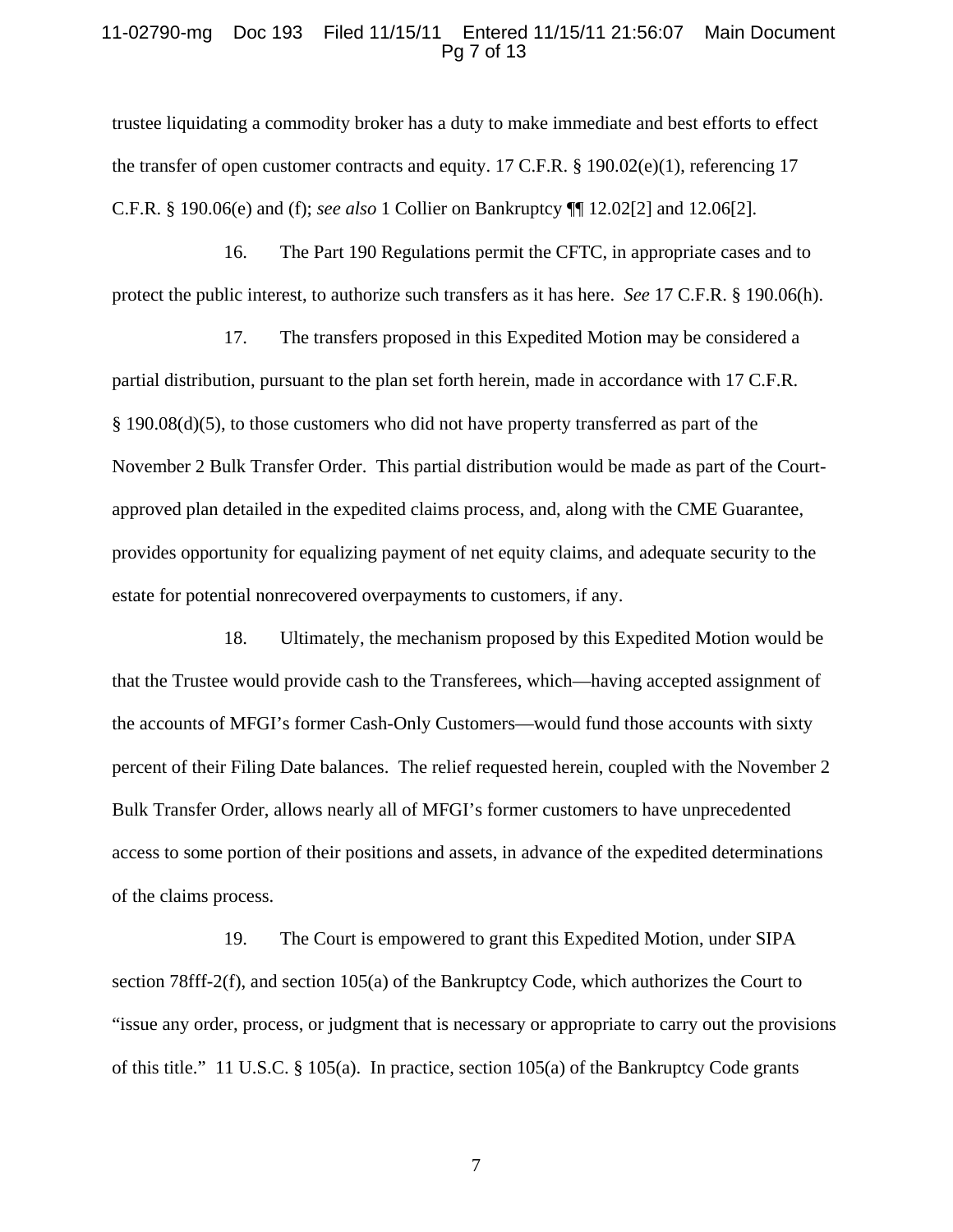## 11-02790-mg Doc 193 Filed 11/15/11 Entered 11/15/11 21:56:07 Main Document Pg 7 of 13

trustee liquidating a commodity broker has a duty to make immediate and best efforts to effect the transfer of open customer contracts and equity. 17 C.F.R.  $\S$  190.02(e)(1), referencing 17 C.F.R. § 190.06(e) and (f); *see also* 1 Collier on Bankruptcy ¶¶ 12.02[2] and 12.06[2].

16. The Part 190 Regulations permit the CFTC, in appropriate cases and to protect the public interest, to authorize such transfers as it has here. *See* 17 C.F.R. § 190.06(h).

17. The transfers proposed in this Expedited Motion may be considered a partial distribution, pursuant to the plan set forth herein, made in accordance with 17 C.F.R. § 190.08(d)(5), to those customers who did not have property transferred as part of the November 2 Bulk Transfer Order. This partial distribution would be made as part of the Courtapproved plan detailed in the expedited claims process, and, along with the CME Guarantee, provides opportunity for equalizing payment of net equity claims, and adequate security to the estate for potential nonrecovered overpayments to customers, if any.

18. Ultimately, the mechanism proposed by this Expedited Motion would be that the Trustee would provide cash to the Transferees, which—having accepted assignment of the accounts of MFGI's former Cash-Only Customers—would fund those accounts with sixty percent of their Filing Date balances. The relief requested herein, coupled with the November 2 Bulk Transfer Order, allows nearly all of MFGI's former customers to have unprecedented access to some portion of their positions and assets, in advance of the expedited determinations of the claims process.

19. The Court is empowered to grant this Expedited Motion, under SIPA section 78fff-2(f), and section 105(a) of the Bankruptcy Code, which authorizes the Court to "issue any order, process, or judgment that is necessary or appropriate to carry out the provisions of this title." 11 U.S.C. § 105(a). In practice, section 105(a) of the Bankruptcy Code grants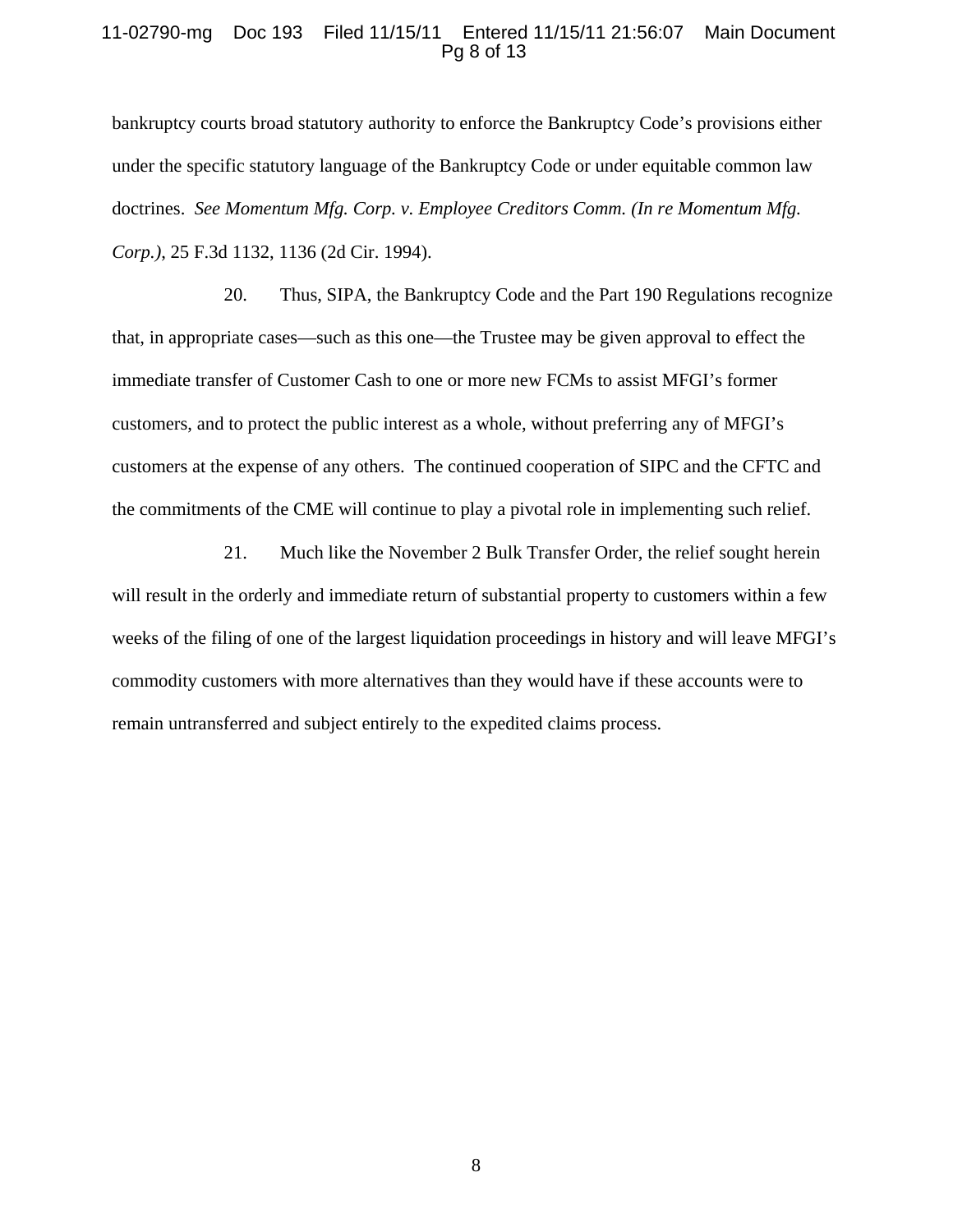## 11-02790-mg Doc 193 Filed 11/15/11 Entered 11/15/11 21:56:07 Main Document Pg 8 of 13

bankruptcy courts broad statutory authority to enforce the Bankruptcy Code's provisions either under the specific statutory language of the Bankruptcy Code or under equitable common law doctrines. *See Momentum Mfg. Corp. v. Employee Creditors Comm. (In re Momentum Mfg. Corp.)*, 25 F.3d 1132, 1136 (2d Cir. 1994).

20. Thus, SIPA, the Bankruptcy Code and the Part 190 Regulations recognize that, in appropriate cases—such as this one—the Trustee may be given approval to effect the immediate transfer of Customer Cash to one or more new FCMs to assist MFGI's former customers, and to protect the public interest as a whole, without preferring any of MFGI's customers at the expense of any others. The continued cooperation of SIPC and the CFTC and the commitments of the CME will continue to play a pivotal role in implementing such relief.

21. Much like the November 2 Bulk Transfer Order, the relief sought herein will result in the orderly and immediate return of substantial property to customers within a few weeks of the filing of one of the largest liquidation proceedings in history and will leave MFGI's commodity customers with more alternatives than they would have if these accounts were to remain untransferred and subject entirely to the expedited claims process.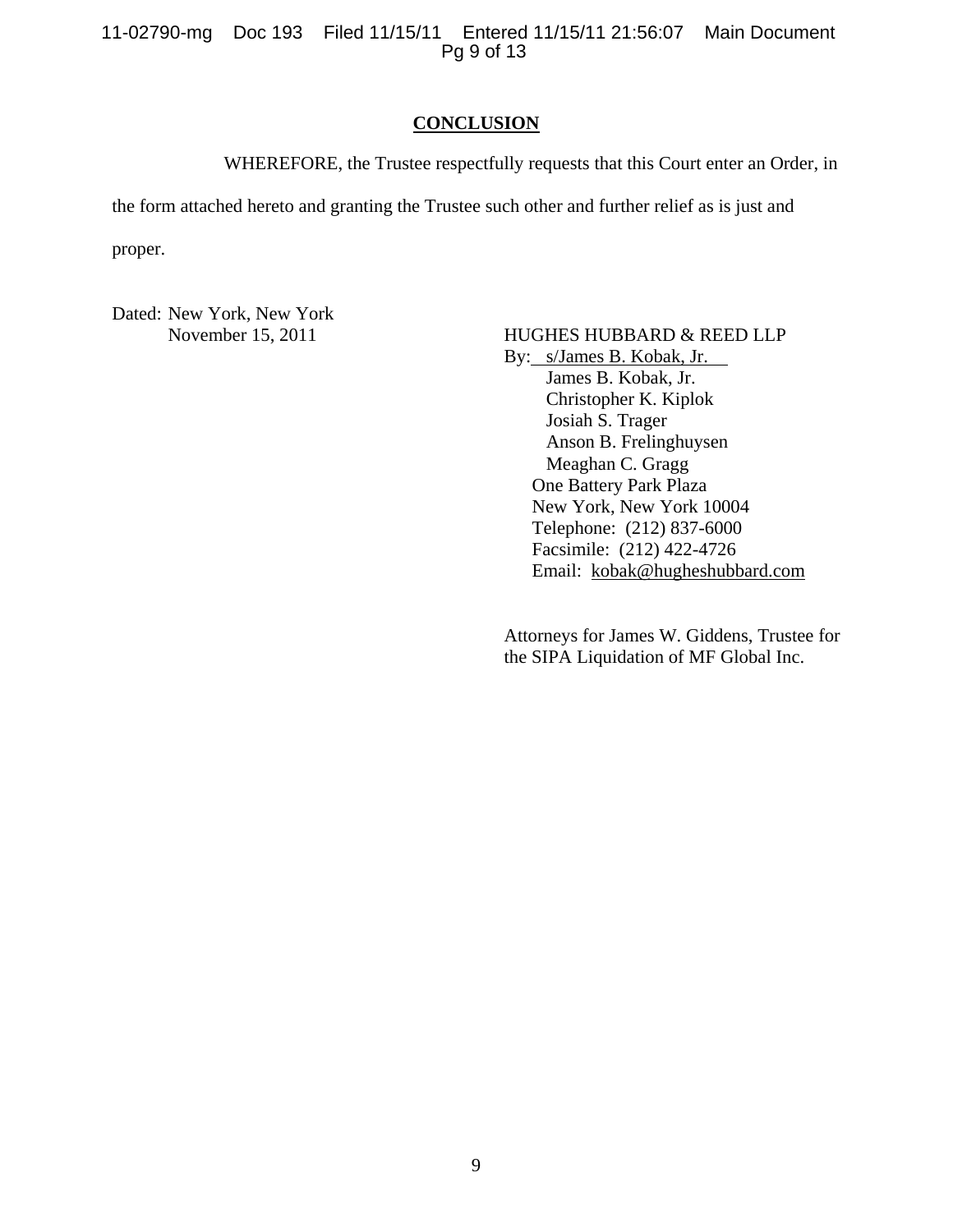11-02790-mg Doc 193 Filed 11/15/11 Entered 11/15/11 21:56:07 Main Document Pg 9 of 13

## **CONCLUSION**

WHEREFORE, the Trustee respectfully requests that this Court enter an Order, in

the form attached hereto and granting the Trustee such other and further relief as is just and

proper.

Dated: New York, New York

# November 15, 2011 HUGHES HUBBARD & REED LLP

By: s/James B. Kobak, Jr. James B. Kobak, Jr. Christopher K. Kiplok Josiah S. Trager Anson B. Frelinghuysen Meaghan C. Gragg One Battery Park Plaza New York, New York 10004 Telephone: (212) 837-6000 Facsimile: (212) 422-4726 Email: kobak@hugheshubbard.com

Attorneys for James W. Giddens, Trustee for the SIPA Liquidation of MF Global Inc.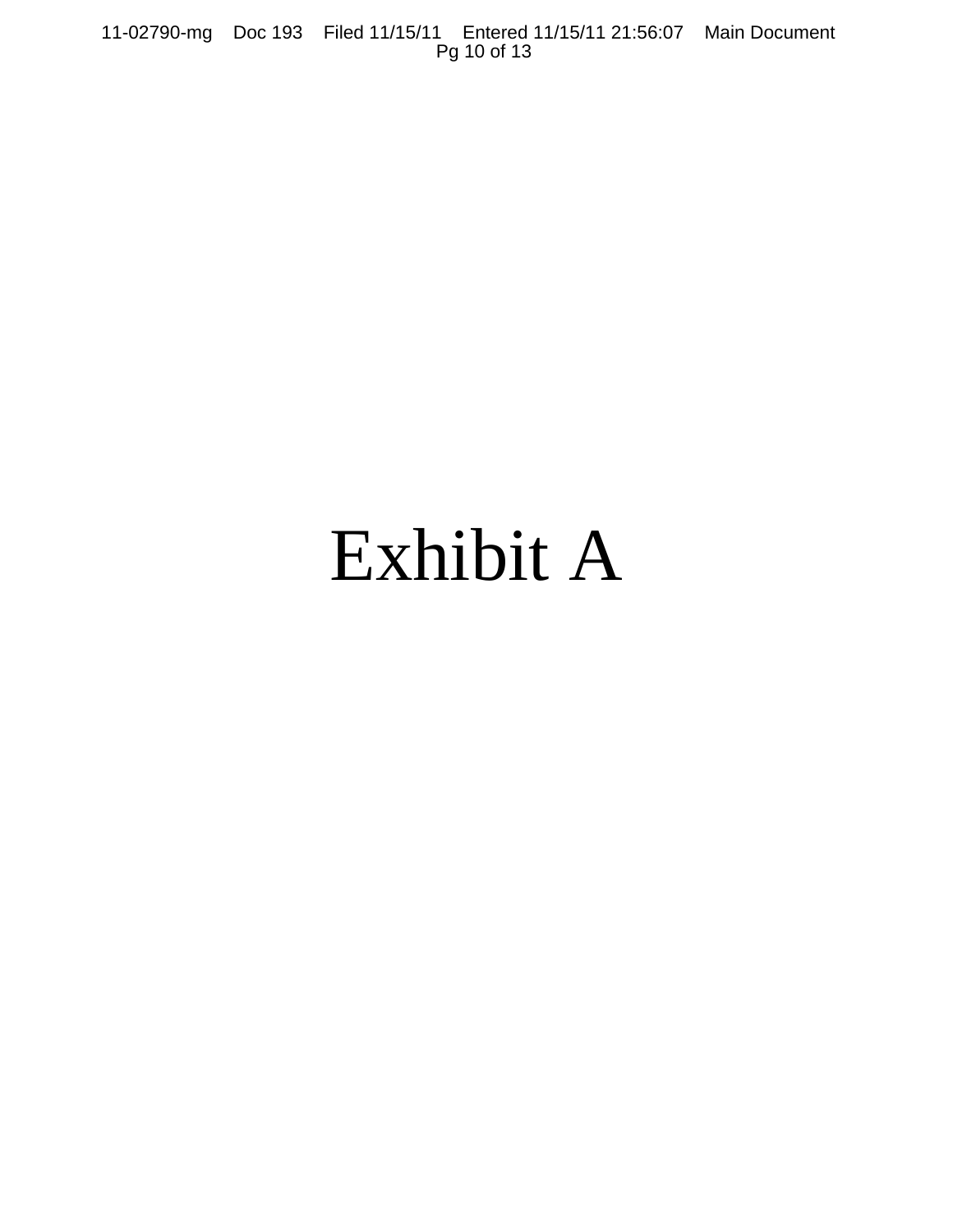11-02790-mg Doc 193 Filed 11/15/11 Entered 11/15/11 21:56:07 Main Document Pg 10 of 13

# Exhibit A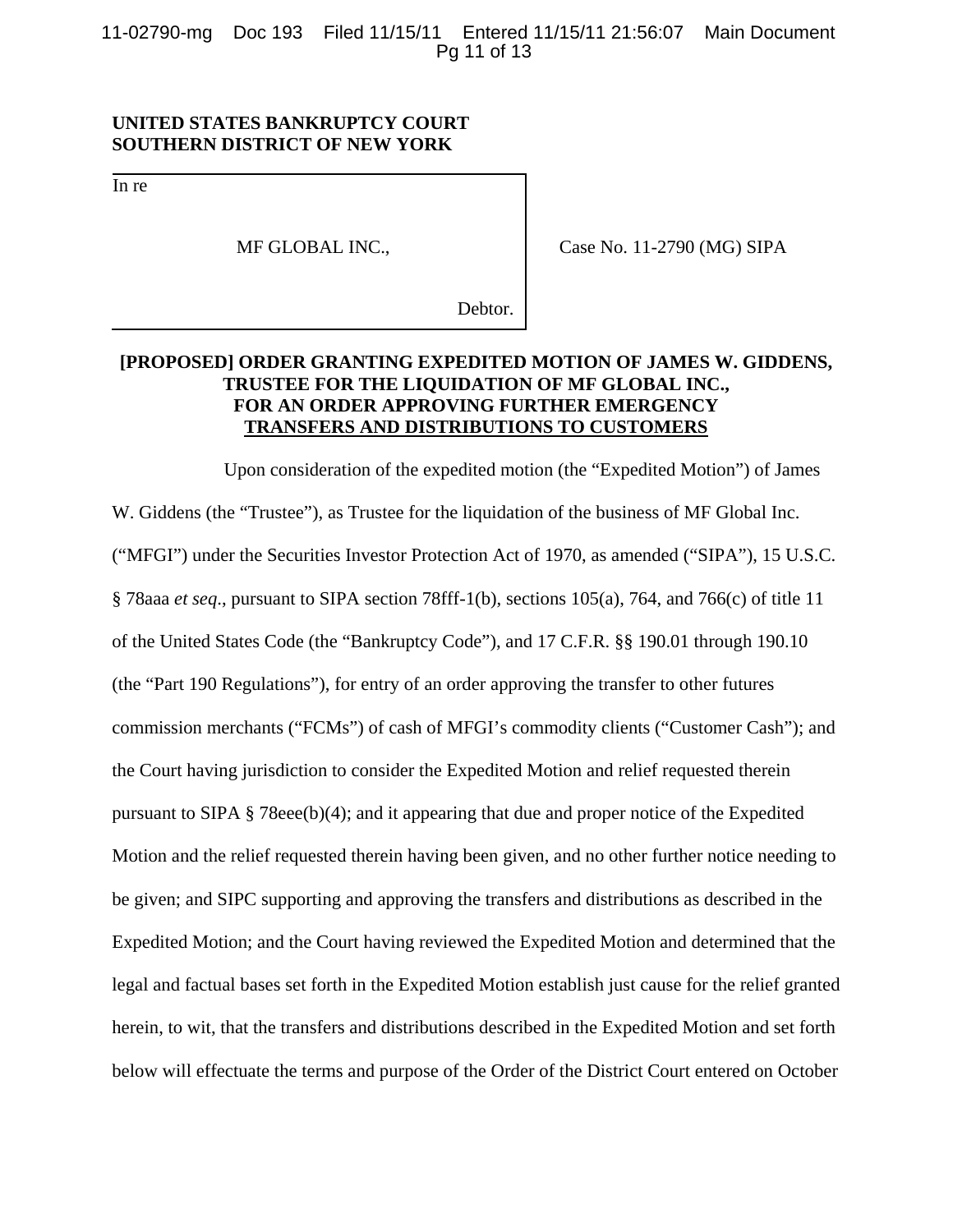11-02790-mg Doc 193 Filed 11/15/11 Entered 11/15/11 21:56:07 Main Document Pg 11 of 13

# **UNITED STATES BANKRUPTCY COURT SOUTHERN DISTRICT OF NEW YORK**

In re

MF GLOBAL INC.,

Case No. 11-2790 (MG) SIPA

Debtor.

# **[PROPOSED] ORDER GRANTING EXPEDITED MOTION OF JAMES W. GIDDENS, TRUSTEE FOR THE LIQUIDATION OF MF GLOBAL INC., FOR AN ORDER APPROVING FURTHER EMERGENCY TRANSFERS AND DISTRIBUTIONS TO CUSTOMERS**

Upon consideration of the expedited motion (the "Expedited Motion") of James W. Giddens (the "Trustee"), as Trustee for the liquidation of the business of MF Global Inc. ("MFGI") under the Securities Investor Protection Act of 1970, as amended ("SIPA"), 15 U.S.C. § 78aaa *et seq*., pursuant to SIPA section 78fff-1(b), sections 105(a), 764, and 766(c) of title 11 of the United States Code (the "Bankruptcy Code"), and 17 C.F.R. §§ 190.01 through 190.10 (the "Part 190 Regulations"), for entry of an order approving the transfer to other futures commission merchants ("FCMs") of cash of MFGI's commodity clients ("Customer Cash"); and the Court having jurisdiction to consider the Expedited Motion and relief requested therein pursuant to SIPA § 78eee(b)(4); and it appearing that due and proper notice of the Expedited Motion and the relief requested therein having been given, and no other further notice needing to be given; and SIPC supporting and approving the transfers and distributions as described in the Expedited Motion; and the Court having reviewed the Expedited Motion and determined that the legal and factual bases set forth in the Expedited Motion establish just cause for the relief granted herein, to wit, that the transfers and distributions described in the Expedited Motion and set forth below will effectuate the terms and purpose of the Order of the District Court entered on October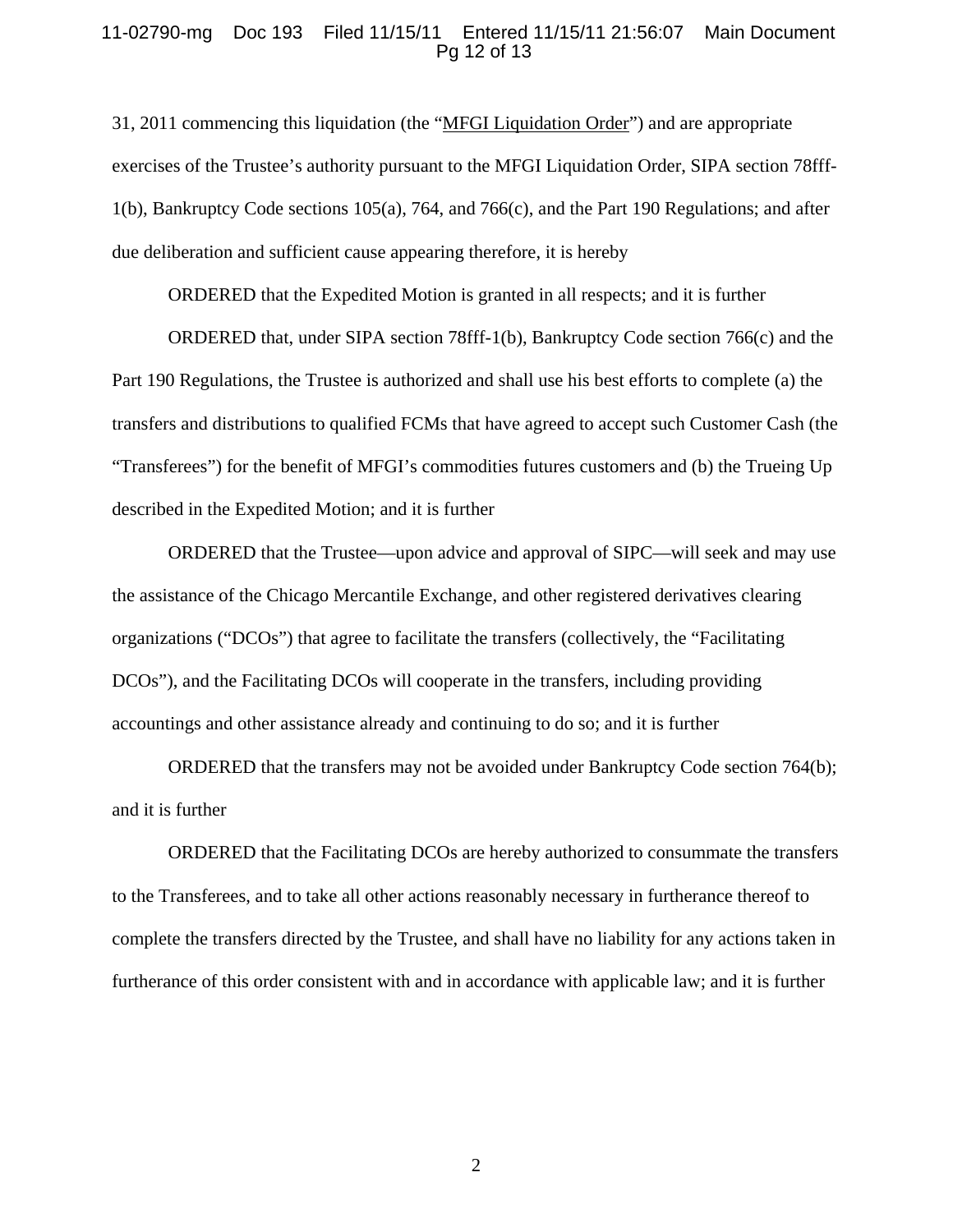## 11-02790-mg Doc 193 Filed 11/15/11 Entered 11/15/11 21:56:07 Main Document Pg 12 of 13

31, 2011 commencing this liquidation (the "MFGI Liquidation Order") and are appropriate exercises of the Trustee's authority pursuant to the MFGI Liquidation Order, SIPA section 78fff-1(b), Bankruptcy Code sections 105(a), 764, and 766(c), and the Part 190 Regulations; and after due deliberation and sufficient cause appearing therefore, it is hereby

ORDERED that the Expedited Motion is granted in all respects; and it is further

ORDERED that, under SIPA section 78fff-1(b), Bankruptcy Code section 766(c) and the Part 190 Regulations, the Trustee is authorized and shall use his best efforts to complete (a) the transfers and distributions to qualified FCMs that have agreed to accept such Customer Cash (the "Transferees") for the benefit of MFGI's commodities futures customers and (b) the Trueing Up described in the Expedited Motion; and it is further

ORDERED that the Trustee—upon advice and approval of SIPC—will seek and may use the assistance of the Chicago Mercantile Exchange, and other registered derivatives clearing organizations ("DCOs") that agree to facilitate the transfers (collectively, the "Facilitating DCOs"), and the Facilitating DCOs will cooperate in the transfers, including providing accountings and other assistance already and continuing to do so; and it is further

ORDERED that the transfers may not be avoided under Bankruptcy Code section 764(b); and it is further

ORDERED that the Facilitating DCOs are hereby authorized to consummate the transfers to the Transferees, and to take all other actions reasonably necessary in furtherance thereof to complete the transfers directed by the Trustee, and shall have no liability for any actions taken in furtherance of this order consistent with and in accordance with applicable law; and it is further